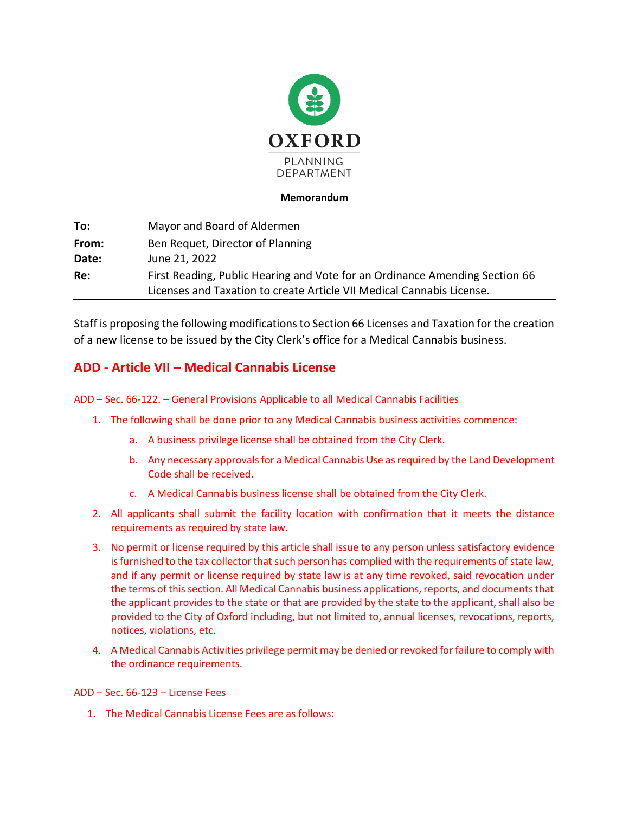

## **Memorandum**

| To:   | Mayor and Board of Aldermen                                                                                                                          |
|-------|------------------------------------------------------------------------------------------------------------------------------------------------------|
| From: | Ben Requet, Director of Planning                                                                                                                     |
| Date: | June 21, 2022                                                                                                                                        |
| Re:   | First Reading, Public Hearing and Vote for an Ordinance Amending Section 66<br>Licenses and Taxation to create Article VII Medical Cannabis License. |

Staff is proposing the following modifications to Section 66 Licenses and Taxation for the creation of a new license to be issued by the City Clerk's office for a Medical Cannabis business.

# **ADD - Article VII – Medical Cannabis License**

## ADD – Sec. 66-122. – General Provisions Applicable to all Medical Cannabis Facilities

- 1. The following shall be done prior to any Medical Cannabis business activities commence:
	- a. A business privilege license shall be obtained from the City Clerk.
	- b. Any necessary approvals for a Medical Cannabis Use as required by the Land Development Code shall be received.
	- c. A Medical Cannabis business license shall be obtained from the City Clerk.
- 2. All applicants shall submit the facility location with confirmation that it meets the distance requirements as required by state law.
- 3. No permit or license required by this article shall issue to any person unless satisfactory evidence is furnished to the tax collector that such person has complied with the requirements of state law, and if any permit or license required by state law is at any time revoked, said revocation under the terms of this section. All Medical Cannabis business applications, reports, and documents that the applicant provides to the state or that are provided by the state to the applicant, shall also be provided to the City of Oxford including, but not limited to, annual licenses, revocations, reports, notices, violations, etc.
- 4. A Medical Cannabis Activities privilege permit may be denied or revoked for failure to comply with the ordinance requirements.

## ADD – Sec. 66-123 – License Fees

1. The Medical Cannabis License Fees are as follows: